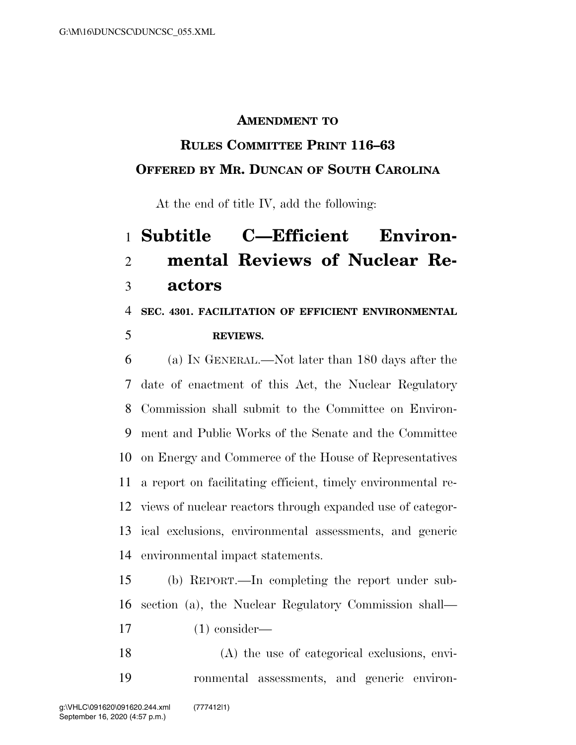#### **AMENDMENT TO**

### **RULES COMMITTEE PRINT 116–63**

### **OFFERED BY MR. DUNCAN OF SOUTH CAROLINA**

At the end of title IV, add the following:

# **Subtitle C—Efficient Environ- mental Reviews of Nuclear Re-actors**

### **SEC. 4301. FACILITATION OF EFFICIENT ENVIRONMENTAL REVIEWS.**

 (a) IN GENERAL.—Not later than 180 days after the date of enactment of this Act, the Nuclear Regulatory Commission shall submit to the Committee on Environ- ment and Public Works of the Senate and the Committee on Energy and Commerce of the House of Representatives a report on facilitating efficient, timely environmental re- views of nuclear reactors through expanded use of categor- ical exclusions, environmental assessments, and generic environmental impact statements.

 (b) REPORT.—In completing the report under sub- section (a), the Nuclear Regulatory Commission shall— (1) consider—

 (A) the use of categorical exclusions, envi-ronmental assessments, and generic environ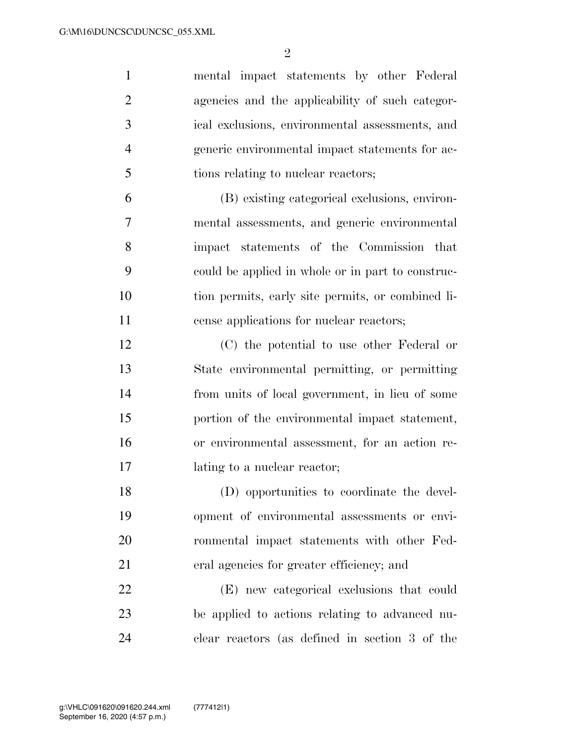| $\mathbf{1}$   | mental impact statements by other Federal         |
|----------------|---------------------------------------------------|
| $\overline{2}$ | agencies and the applicability of such categor-   |
| 3              | ical exclusions, environmental assessments, and   |
| $\overline{4}$ | generic environmental impact statements for ac-   |
| 5              | tions relating to nuclear reactors;               |
| 6              | (B) existing categorical exclusions, environ-     |
| $\overline{7}$ | mental assessments, and generic environmental     |
| 8              | impact statements of the Commission that          |
| 9              | eould be applied in whole or in part to construc- |
| 10             | tion permits, early site permits, or combined li- |
| 11             | cense applications for nuclear reactors;          |
| 12             | (C) the potential to use other Federal or         |
| 13             | State environmental permitting, or permitting     |
| 14             | from units of local government, in lieu of some   |
| 15             | portion of the environmental impact statement,    |
| 16             | or environmental assessment, for an action re-    |
| 17             | lating to a nuclear reactor;                      |
| 18             | (D) opportunities to coordinate the devel-        |
| 19             | opment of environmental assessments or envi-      |
| 20             | ronmental impact statements with other Fed-       |
| 21             | eral agencies for greater efficiency; and         |
| 22             | (E) new categorical exclusions that could         |
| 23             | be applied to actions relating to advanced nu-    |
| 24             | clear reactors (as defined in section 3 of the    |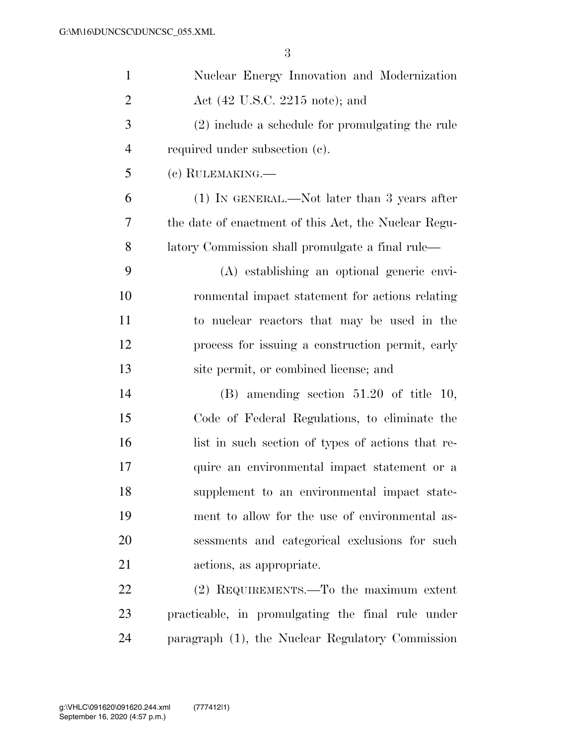| $\mathbf{1}$   | Nuclear Energy Innovation and Modernization          |
|----------------|------------------------------------------------------|
| $\overline{2}$ | Act (42 U.S.C. 2215 note); and                       |
| 3              | $(2)$ include a schedule for promulgating the rule   |
| $\overline{4}$ | required under subsection (c).                       |
| 5              | (c) RULEMAKING.—                                     |
| 6              | (1) IN GENERAL.—Not later than 3 years after         |
| 7              | the date of enactment of this Act, the Nuclear Regu- |
| 8              | latory Commission shall promulgate a final rule—     |
| 9              | (A) establishing an optional generic envi-           |
| 10             | ronmental impact statement for actions relating      |
| 11             | to nuclear reactors that may be used in the          |
| 12             | process for issuing a construction permit, early     |
| 13             | site permit, or combined license; and                |
| 14             | $(B)$ amending section 51.20 of title 10,            |
| 15             | Code of Federal Regulations, to eliminate the        |
| 16             | list in such section of types of actions that re-    |
| 17             | quire an environmental impact statement or a         |
| 18             | supplement to an environmental impact state-         |
| 19             | ment to allow for the use of environmental as-       |
| 20             | sessments and categorical exclusions for such        |
| 21             | actions, as appropriate.                             |
| 22             | $(2)$ REQUIREMENTS.—To the maximum extent            |
| 23             | practicable, in promulgating the final rule under    |
| 24             | paragraph (1), the Nuclear Regulatory Commission     |